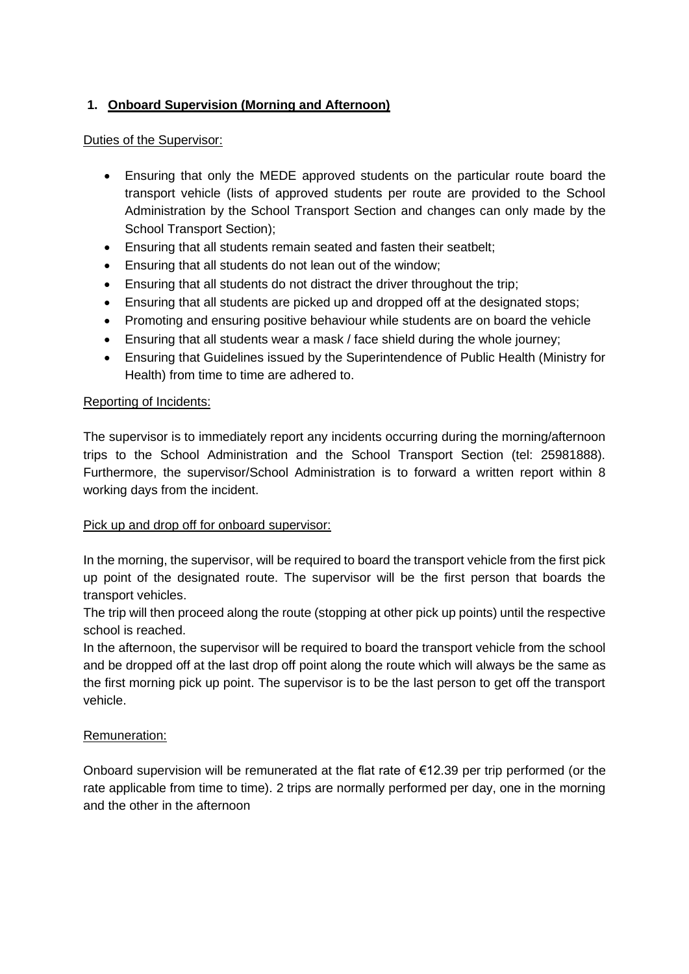## **1. Onboard Supervision (Morning and Afternoon)**

### Duties of the Supervisor:

- Ensuring that only the MEDE approved students on the particular route board the transport vehicle (lists of approved students per route are provided to the School Administration by the School Transport Section and changes can only made by the School Transport Section);
- Ensuring that all students remain seated and fasten their seatbelt;
- Ensuring that all students do not lean out of the window;
- Ensuring that all students do not distract the driver throughout the trip;
- Ensuring that all students are picked up and dropped off at the designated stops;
- Promoting and ensuring positive behaviour while students are on board the vehicle
- Ensuring that all students wear a mask / face shield during the whole journey;
- Ensuring that Guidelines issued by the Superintendence of Public Health (Ministry for Health) from time to time are adhered to.

#### Reporting of Incidents:

The supervisor is to immediately report any incidents occurring during the morning/afternoon trips to the School Administration and the School Transport Section (tel: 25981888). Furthermore, the supervisor/School Administration is to forward a written report within 8 working days from the incident.

### Pick up and drop off for onboard supervisor:

In the morning, the supervisor, will be required to board the transport vehicle from the first pick up point of the designated route. The supervisor will be the first person that boards the transport vehicles.

The trip will then proceed along the route (stopping at other pick up points) until the respective school is reached.

In the afternoon, the supervisor will be required to board the transport vehicle from the school and be dropped off at the last drop off point along the route which will always be the same as the first morning pick up point. The supervisor is to be the last person to get off the transport vehicle.

#### Remuneration:

Onboard supervision will be remunerated at the flat rate of €12.39 per trip performed (or the rate applicable from time to time). 2 trips are normally performed per day, one in the morning and the other in the afternoon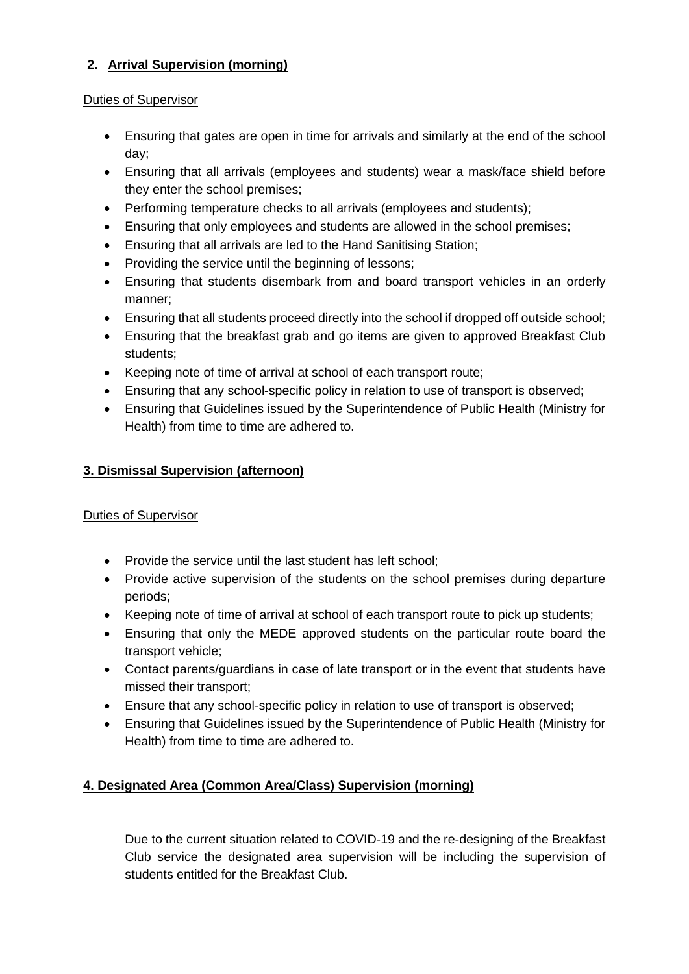# **2. Arrival Supervision (morning)**

### Duties of Supervisor

- Ensuring that gates are open in time for arrivals and similarly at the end of the school day;
- Ensuring that all arrivals (employees and students) wear a mask/face shield before they enter the school premises;
- Performing temperature checks to all arrivals (employees and students);
- Ensuring that only employees and students are allowed in the school premises;
- Ensuring that all arrivals are led to the Hand Sanitising Station;
- Providing the service until the beginning of lessons;
- Ensuring that students disembark from and board transport vehicles in an orderly manner;
- Ensuring that all students proceed directly into the school if dropped off outside school;
- Ensuring that the breakfast grab and go items are given to approved Breakfast Club students;
- Keeping note of time of arrival at school of each transport route;
- Ensuring that any school-specific policy in relation to use of transport is observed;
- Ensuring that Guidelines issued by the Superintendence of Public Health (Ministry for Health) from time to time are adhered to.

# **3. Dismissal Supervision (afternoon)**

# Duties of Supervisor

- Provide the service until the last student has left school;
- Provide active supervision of the students on the school premises during departure periods;
- Keeping note of time of arrival at school of each transport route to pick up students;
- Ensuring that only the MEDE approved students on the particular route board the transport vehicle;
- Contact parents/guardians in case of late transport or in the event that students have missed their transport;
- Ensure that any school-specific policy in relation to use of transport is observed;
- Ensuring that Guidelines issued by the Superintendence of Public Health (Ministry for Health) from time to time are adhered to.

# **4. Designated Area (Common Area/Class) Supervision (morning)**

Due to the current situation related to COVID-19 and the re-designing of the Breakfast Club service the designated area supervision will be including the supervision of students entitled for the Breakfast Club.